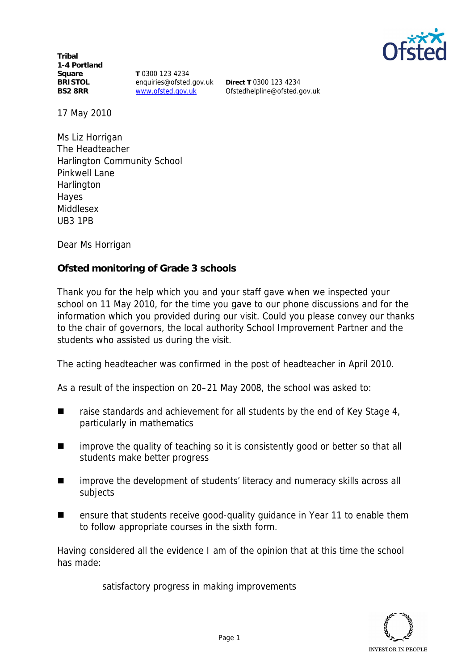

**Tribal 1-4 Portland Square BRISTOL BS2 8RR**

**T** 0300 123 4234 enquiries@ofsted.gov.uk www.ofsted.gov.uk

**Direct T** 0300 123 4234 Ofstedhelpline@ofsted.gov.uk

17 May 2010

Ms Liz Horrigan The Headteacher Harlington Community School Pinkwell Lane **Harlington** Hayes Middlesex UB3 1PB

Dear Ms Horrigan

**Ofsted monitoring of Grade 3 schools**

Thank you for the help which you and your staff gave when we inspected your school on 11 May 2010*,* for the time you gave to our phone discussions and for the information which you provided during our visit. Could you please convey our thanks to the chair of governors, the local authority School Improvement Partner and the students who assisted us during the visit.

The acting headteacher was confirmed in the post of headteacher in April 2010.

As a result of the inspection on 20–21 May 2008, the school was asked to:

- $\blacksquare$  raise standards and achievement for all students by the end of Key Stage 4, particularly in mathematics
- improve the quality of teaching so it is consistently good or better so that all students make better progress
- improve the development of students' literacy and numeracy skills across all subjects
- ensure that students receive good-quality quidance in Year 11 to enable them to follow appropriate courses in the sixth form.

Having considered all the evidence I am of the opinion that at this time the school has made:

satisfactory progress in making improvements

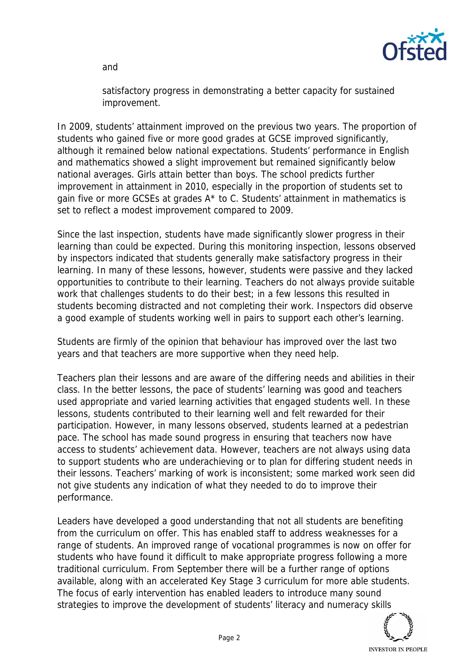and



satisfactory progress in demonstrating a better capacity for sustained improvement.

In 2009, students' attainment improved on the previous two years. The proportion of students who gained five or more good grades at GCSE improved significantly, although it remained below national expectations. Students' performance in English and mathematics showed a slight improvement but remained significantly below national averages. Girls attain better than boys. The school predicts further improvement in attainment in 2010, especially in the proportion of students set to gain five or more GCSEs at grades A\* to C. Students' attainment in mathematics is set to reflect a modest improvement compared to 2009.

Since the last inspection, students have made significantly slower progress in their learning than could be expected. During this monitoring inspection, lessons observed by inspectors indicated that students generally make satisfactory progress in their learning. In many of these lessons, however, students were passive and they lacked opportunities to contribute to their learning. Teachers do not always provide suitable work that challenges students to do their best; in a few lessons this resulted in students becoming distracted and not completing their work. Inspectors did observe a good example of students working well in pairs to support each other's learning.

Students are firmly of the opinion that behaviour has improved over the last two years and that teachers are more supportive when they need help.

Teachers plan their lessons and are aware of the differing needs and abilities in their class. In the better lessons, the pace of students' learning was good and teachers used appropriate and varied learning activities that engaged students well. In these lessons, students contributed to their learning well and felt rewarded for their participation. However, in many lessons observed, students learned at a pedestrian pace. The school has made sound progress in ensuring that teachers now have access to students' achievement data. However, teachers are not always using data to support students who are underachieving or to plan for differing student needs in their lessons. Teachers' marking of work is inconsistent; some marked work seen did not give students any indication of what they needed to do to improve their performance.

Leaders have developed a good understanding that not all students are benefiting from the curriculum on offer. This has enabled staff to address weaknesses for a range of students. An improved range of vocational programmes is now on offer for students who have found it difficult to make appropriate progress following a more traditional curriculum. From September there will be a further range of options available, along with an accelerated Key Stage 3 curriculum for more able students. The focus of early intervention has enabled leaders to introduce many sound strategies to improve the development of students' literacy and numeracy skills